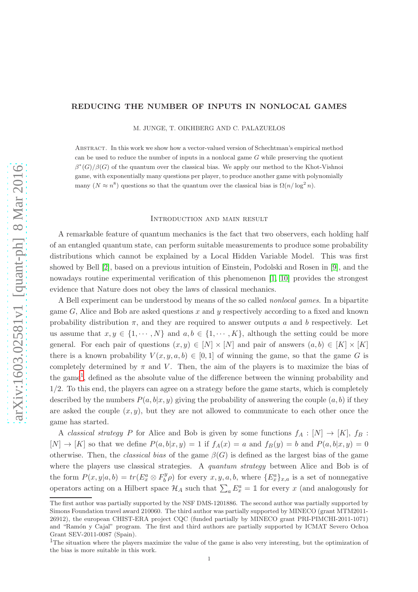#### REDUCING THE NUMBER OF INPUTS IN NONLOCAL GAMES

M. JUNGE, T. OIKHBERG AND C. PALAZUELOS

Abstract. In this work we show how a vector-valued version of Schechtman's empirical method can be used to reduce the number of inputs in a nonlocal game  $G$  while preserving the quotient  $\beta^*(G)/\beta(G)$  of the quantum over the classical bias. We apply our method to the Khot-Vishnoi game, with exponentially many questions per player, to produce another game with polynomially many  $(N \approx n^8)$  questions so that the quantum over the classical bias is  $\Omega(n/\log^2 n)$ .

#### Introduction and main result

A remarkable feature of quantum mechanics is the fact that two observers, each holding half of an entangled quantum state, can perform suitable measurements to produce some probability distributions which cannot be explained by a Local Hidden Variable Model. This was first showed by Bell [\[2\]](#page-17-0), based on a previous intuition of Einstein, Podolski and Rosen in [\[9\]](#page-18-0), and the nowadays routine experimental verification of this phenomenon [\[1,](#page-17-1) [10\]](#page-18-1) provides the strongest evidence that Nature does not obey the laws of classical mechanics.

A Bell experiment can be understood by means of the so called nonlocal games. In a bipartite game  $G$ , Alice and Bob are asked questions x and y respectively according to a fixed and known probability distribution  $\pi$ , and they are required to answer outputs a and b respectively. Let us assume that  $x, y \in \{1, \dots, N\}$  and  $a, b \in \{1, \dots, K\}$ , although the setting could be more general. For each pair of questions  $(x, y) \in [N] \times [N]$  and pair of answers  $(a, b) \in [K] \times [K]$ there is a known probability  $V(x, y, a, b) \in [0, 1]$  of winning the game, so that the game G is completely determined by  $\pi$  and V. Then, the aim of the players is to maximize the bias of the game<sup>[1](#page-0-0)</sup>, defined as the absolute value of the difference between the winning probability and 1/2. To this end, the players can agree on a strategy before the game starts, which is completely described by the numbers  $P(a, b|x, y)$  giving the probability of answering the couple  $(a, b)$  if they are asked the couple  $(x, y)$ , but they are not allowed to communicate to each other once the game has started.

A classical strategy P for Alice and Bob is given by some functions  $f_A : [N] \to [K]$ ,  $f_B :$  $[N] \rightarrow [K]$  so that we define  $P(a, b|x, y) = 1$  if  $f_A(x) = a$  and  $f_B(y) = b$  and  $P(a, b|x, y) = 0$ otherwise. Then, the *classical bias* of the game  $\beta(G)$  is defined as the largest bias of the game where the players use classical strategies. A *quantum strategy* between Alice and Bob is of the form  $P(x, y | a, b) = tr(E_x^a \otimes F_b^y)$  $\mathcal{L}_{b}^{y}(\rho)$  for every  $x, y, a, b$ , where  $\{E_{x}^{a}\}_{x,a}$  is a set of nonnegative operators acting on a Hilbert space  $\mathcal{H}_A$  such that  $\sum_a E_x^a = \mathbb{1}$  for every x (and analogously for

The first author was partially supported by the NSF DMS-1201886. The second author was partially supported by Simons Foundation travel award 210060. The third author was partially supported by MINECO (grant MTM2011- 26912), the european CHIST-ERA project CQC (funded partially by MINECO grant PRI-PIMCHI-2011-1071) and "Ramón y Cajal" program. The first and third authors are partially supported by ICMAT Severo Ochoa Grant SEV-2011-0087 (Spain).

<span id="page-0-0"></span><sup>&</sup>lt;sup>1</sup>The situation where the players maximize the value of the game is also very interesting, but the optimization of the bias is more suitable in this work.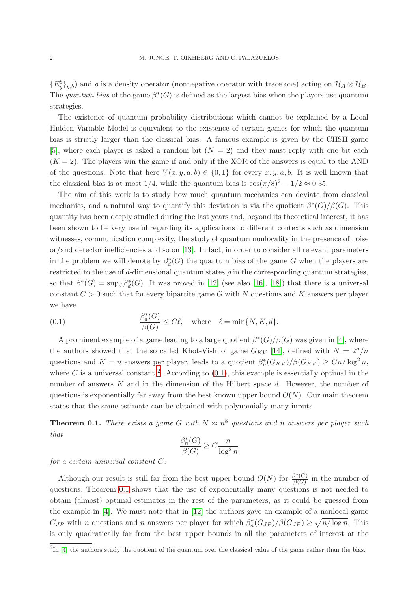${E_y^b}_{y,b}$  and  $\rho$  is a density operator (nonnegative operator with trace one) acting on  $\mathcal{H}_A \otimes \mathcal{H}_B$ . The quantum bias of the game  $\beta^*(G)$  is defined as the largest bias when the players use quantum strategies.

The existence of quantum probability distributions which cannot be explained by a Local Hidden Variable Model is equivalent to the existence of certain games for which the quantum bias is strictly larger than the classical bias. A famous example is given by the CHSH game [\[5\]](#page-17-2), where each player is asked a random bit  $(N = 2)$  and they must reply with one bit each  $(K = 2)$ . The players win the game if and only if the XOR of the answers is equal to the AND of the questions. Note that here  $V(x, y, a, b) \in \{0, 1\}$  for every  $x, y, a, b$ . It is well known that the classical bias is at most 1/4, while the quantum bias is  $\cos(\pi/8)^2 - 1/2 \approx 0.35$ .

The aim of this work is to study how much quantum mechanics can deviate from classical mechanics, and a natural way to quantify this deviation is via the quotient  $\beta^*(G)/\beta(G)$ . This quantity has been deeply studied during the last years and, beyond its theoretical interest, it has been shown to be very useful regarding its applications to different contexts such as dimension witnesses, communication complexity, the study of quantum nonlocality in the presence of noise or/and detector inefficiencies and so on [\[13\]](#page-18-2). In fact, in order to consider all relevant parameters in the problem we will denote by  $\beta_d^*(G)$  the quantum bias of the game G when the players are restricted to the use of d-dimensional quantum states  $\rho$  in the corresponding quantum strategies, so that  $\beta^*(G) = \sup_d \beta_d^*(G)$ . It was proved in [\[12\]](#page-18-3) (see also [\[16\]](#page-18-4), [\[18\]](#page-18-5)) that there is a universal constant  $C > 0$  such that for every bipartite game G with N questions and K answers per player we have

<span id="page-1-1"></span>(0.1) 
$$
\frac{\beta_d^*(G)}{\beta(G)} \le C\ell, \text{ where } \ell = \min\{N, K, d\}.
$$

A prominent example of a game leading to a large quotient  $\beta^*(G)/\beta(G)$  was given in [\[4\]](#page-17-3), where the authors showed that the so called Khot-Vishnoi game  $G_{KV}$  [\[14\]](#page-18-6), defined with  $N = 2<sup>n</sup>/n$ questions and  $K = n$  answers per player, leads to a quotient  $\beta_n^*(G_{KV})/\beta(G_{KV}) \ge Cn/\log^2 n$ , where C is a universal constant <sup>[2](#page-1-0)</sup>. According to  $(0.1)$ , this example is essentially optimal in the number of answers  $K$  and in the dimension of the Hilbert space  $d$ . However, the number of questions is exponentially far away from the best known upper bound  $O(N)$ . Our main theorem states that the same estimate can be obtained with polynomially many inputs.

<span id="page-1-2"></span>**Theorem 0.1.** There exists a game G with  $N \approx n^8$  questions and n answers per player such that

$$
\frac{\beta_n^*(G)}{\beta(G)} \ge C \frac{n}{\log^2 n}
$$

for a certain universal constant C.

Although our result is still far from the best upper bound  $O(N)$  for  $\frac{\beta^*(G)}{\beta(G)}$  $\frac{\partial^{\alpha}(\mathbf{G})}{\partial(\mathbf{G})}$  in the number of questions, Theorem [0.1](#page-1-2) shows that the use of exponentially many questions is not needed to obtain (almost) optimal estimates in the rest of the parameters, as it could be guessed from the example in [\[4\]](#page-17-3). We must note that in [\[12\]](#page-18-3) the authors gave an example of a nonlocal game  $G_{JP}$  with n questions and n answers per player for which  $\beta_n^*(G_{JP})/\beta(G_{JP}) \ge \sqrt{n/\log n}$ . This is only quadratically far from the best upper bounds in all the parameters of interest at the

<span id="page-1-0"></span> $^{2}$ In [\[4\]](#page-17-3) the authors study the quotient of the quantum over the classical value of the game rather than the bias.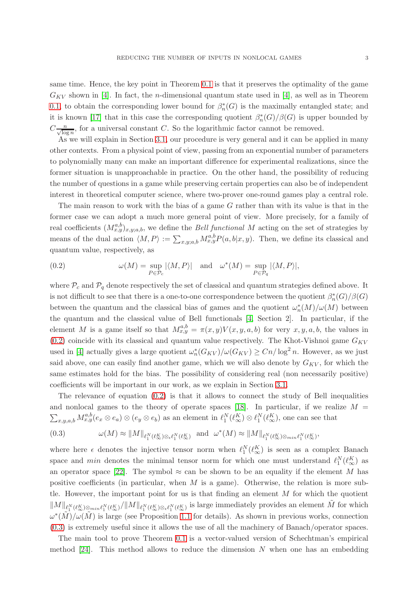same time. Hence, the key point in Theorem [0.1](#page-1-2) is that it preserves the optimality of the game  $G_{KV}$  shown in [\[4\]](#page-17-3). In fact, the *n*-dimensional quantum state used in [4], as well as in Theorem [0.1,](#page-1-2) to obtain the corresponding lower bound for  $\beta_n^*(G)$  is the maximally entangled state; and it is known [\[17\]](#page-18-7) that in this case the corresponding quotient  $\beta_n^*(G)/\beta(G)$  is upper bounded by  $C_{\frac{n}{\sqrt{\log n}}}$ , for a universal constant C. So the logarithmic factor cannot be removed.

As we will explain in Section [3.1,](#page-14-0) our procedure is very general and it can be applied in many other contexts. From a physical point of view, passing from an exponential number of parameters to polynomially many can make an important difference for experimental realizations, since the former situation is unapproachable in practice. On the other hand, the possibility of reducing the number of questions in a game while preserving certain properties can also be of independent interest in theoretical computer science, where two-prover one-round games play a central role.

The main reason to work with the bias of a game G rather than with its value is that in the former case we can adopt a much more general point of view. More precisely, for a family of real coefficients  $(M_{x,y}^{a,b})_{x,y;a,b}$ , we define the *Bell functional M* acting on the set of strategies by means of the dual action  $\langle M, P \rangle := \sum_{x,y;a,b} M_{x,y}^{a,b} P(a,b|x,y)$ . Then, we define its classical and quantum value, respectively, as

<span id="page-2-0"></span>(0.2) 
$$
\omega(M) = \sup_{P \in \mathcal{P}_c} |\langle M, P \rangle| \text{ and } \omega^*(M) = \sup_{P \in \mathcal{P}_q} |\langle M, P \rangle|,
$$

where  $\mathcal{P}_c$  and  $\mathcal{P}_q$  denote respectively the set of classical and quantum strategies defined above. It is not difficult to see that there is a one-to-one correspondence between the quotient  $\beta_n^*(G)/\beta(G)$ between the quantum and the classical bias of games and the quotient  $\omega_n^*(M)/\omega(M)$  between the quantum and the classical value of Bell functionals [\[4,](#page-17-3) Section 2]. In particular, if the element M is a game itself so that  $M_{x,y}^{a,b} = \pi(x,y)V(x,y,a,b)$  for very  $x, y, a, b$ , the values in  $(0.2)$  coincide with its classical and quantum value respectively. The Khot-Vishnoi game  $G_{KV}$ used in [\[4\]](#page-17-3) actually gives a large quotient  $\omega_n^*(G_{KV})/\omega(G_{KV}) \ge Cn/\log^2 n$ . However, as we just said above, one can easily find another game, which we will also denote by  $G_{KV}$ , for which the same estimates hold for the bias. The possibility of considering real (non necessarily positive) coefficients will be important in our work, as we explain in Section [3.1.](#page-14-0)

The relevance of equation  $(0.2)$  is that it allows to connect the study of Bell inequalities and nonlocal games to the theory of operate spaces [\[18\]](#page-18-5). In particular, if we realize  $M =$  $\sum_{x,y,a,b} M_{x,y}^{a,b}(e_x \otimes e_a) \otimes (e_y \otimes e_b)$  as an element in  $\ell_1^N(\ell_\infty^K) \otimes \ell_1^N(\ell_\infty^K)$ , one can see that

<span id="page-2-1"></span>(0.3) 
$$
\omega(M) \approx ||M||_{\ell_1^N(\ell_\infty^K) \otimes \ell_1^N(\ell_\infty^K)} \text{ and } \omega^*(M) \approx ||M||_{\ell_1^N(\ell_\infty^K) \otimes_{min} \ell_1^N(\ell_\infty^K)},
$$

where here  $\epsilon$  denotes the injective tensor norm when  $\ell_1^N(\ell_\infty^K)$  is seen as a complex Banach space and *min* denotes the minimal tensor norm for which one must understand  $\ell_1^N(\ell_\infty^K)$  as an operator space [\[22\]](#page-18-8). The symbol  $\approx$  can be shown to be an equality if the element M has positive coefficients (in particular, when  $M$  is a game). Otherwise, the relation is more subtle. However, the important point for us is that finding an element  $M$  for which the quotient  $\|M\|_{\ell_1^N(\ell_\infty^K)}\otimes_{\min \ell_1^N(\ell_\infty^K)}/\|M\|_{\ell_1^N(\ell_\infty^K)}\otimes_{\ell_1^N(\ell_\infty^K)}$  is large immediately provides an element  $\tilde{M}$  for which  $\omega^*(\tilde{M})/\omega(\tilde{M})$  is large (see Proposition [1.1](#page-5-0) for details). As shown in previous works, connection [\(0.3\)](#page-2-1) is extremely useful since it allows the use of all the machinery of Banach/operator spaces.

The main tool to prove Theorem [0.1](#page-1-2) is a vector-valued version of Schechtman's empirical method  $[24]$ . This method allows to reduce the dimension N when one has an embedding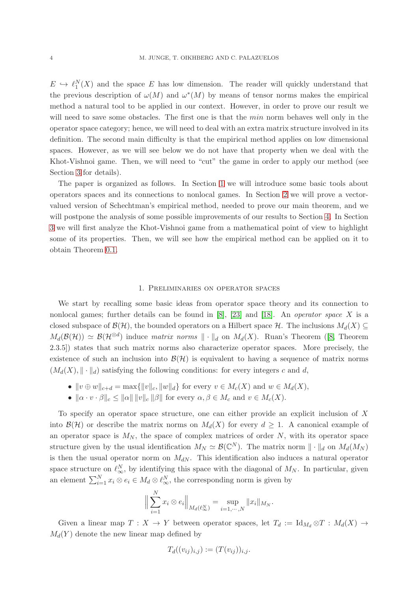$E \hookrightarrow \ell_1^N(X)$  and the space E has low dimension. The reader will quickly understand that the previous description of  $\omega(M)$  and  $\omega^*(M)$  by means of tensor norms makes the empirical method a natural tool to be applied in our context. However, in order to prove our result we will need to save some obstacles. The first one is that the *min* norm behaves well only in the operator space category; hence, we will need to deal with an extra matrix structure involved in its definition. The second main difficulty is that the empirical method applies on low dimensional spaces. However, as we will see below we do not have that property when we deal with the Khot-Vishnoi game. Then, we will need to "cut" the game in order to apply our method (see Section [3](#page-10-0) for details).

The paper is organized as follows. In Section [1](#page-3-0) we will introduce some basic tools about operators spaces and its connections to nonlocal games. In Section [2](#page-8-0) we will prove a vectorvalued version of Schechtman's empirical method, needed to prove our main theorem, and we will postpone the analysis of some possible improvements of our results to Section [4.](#page-15-0) In Section [3](#page-10-0) we will first analyze the Khot-Vishnoi game from a mathematical point of view to highlight some of its properties. Then, we will see how the empirical method can be applied on it to obtain Theorem [0.1.](#page-1-2)

#### 1. Preliminaries on operator spaces

<span id="page-3-0"></span>We start by recalling some basic ideas from operator space theory and its connection to nonlocal games; further details can be found in  $[8]$ ,  $[23]$  and  $[18]$ . An *operator space* X is a closed subspace of  $\mathcal{B}(\mathcal{H})$ , the bounded operators on a Hilbert space  $\mathcal{H}$ . The inclusions  $M_d(X) \subseteq$  $M_d(\mathcal{B}(\mathcal{H})) \simeq \mathcal{B}(\mathcal{H}^{\otimes d})$  induce matrix norms  $\|\cdot\|_d$  on  $M_d(X)$ . Ruan's Theorem ([\[8,](#page-18-10) Theorem 2.3.5]) states that such matrix norms also characterize operator spaces. More precisely, the existence of such an inclusion into  $\mathcal{B}(\mathcal{H})$  is equivalent to having a sequence of matrix norms  $(M_d(X), \|\cdot\|_d)$  satisfying the following conditions: for every integers c and d,

- $||v \oplus w||_{c+d} = \max{||v||_c, ||w||_d}$  for every  $v \in M_c(X)$  and  $w \in M_d(X)$ ,
- $\|\alpha \cdot v \cdot \beta\|_c \leq \|\alpha\| \|v\|_c \|\beta\|$  for every  $\alpha, \beta \in M_c$  and  $v \in M_c(X)$ .

To specify an operator space structure, one can either provide an explicit inclusion of X into  $\mathcal{B}(\mathcal{H})$  or describe the matrix norms on  $M_d(X)$  for every  $d \geq 1$ . A canonical example of an operator space is  $M_N$ , the space of complex matrices of order  $N$ , with its operator space structure given by the usual identification  $M_N \simeq \mathcal{B}(\mathbb{C}^N)$ . The matrix norm  $\|\cdot\|_d$  on  $M_d(M_N)$ is then the usual operator norm on  $M_{dN}$ . This identification also induces a natural operator space structure on  $\ell_{\infty}^N$ , by identifying this space with the diagonal of  $M_N$ . In particular, given an element  $\sum_{i=1}^{N} x_i \otimes e_i \in M_d \otimes \ell_{\infty}^N$ , the corresponding norm is given by

$$
\Big\|\sum_{i=1}^N x_i\otimes e_i\Big\|_{M_d(\ell_\infty^N)}=\sup_{i=1,\cdots,N}\|x_i\|_{M_N}.
$$

Given a linear map  $T : X \to Y$  between operator spaces, let  $T_d := \text{Id}_{M_d} \otimes T : M_d(X) \to$  $M_d(Y)$  denote the new linear map defined by

$$
T_d((v_{ij})_{i,j}) := (T(v_{ij}))_{i,j}.
$$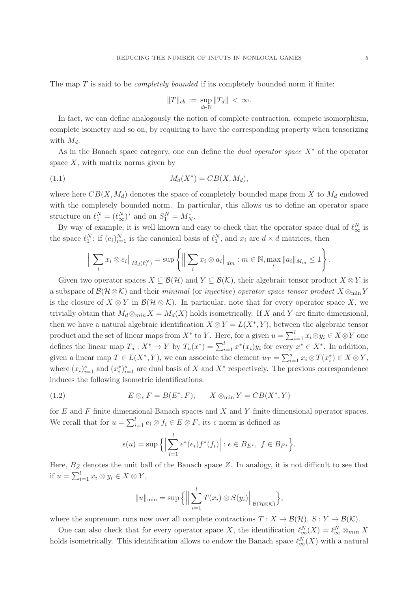The map  $T$  is said to be *completely bounded* if its completely bounded norm if finite:

$$
||T||_{cb} := \sup_{d \in \mathbb{N}} ||T_d|| < \infty.
$$

In fact, we can define analogously the notion of complete contraction, compete isomorphism, complete isometry and so on, by requiring to have the corresponding property when tensorizing with  $M_d$ .

As in the Banach space category, one can define the *dual operator space*  $X^*$  of the operator space  $X$ , with matrix norms given by

<span id="page-4-0"></span>
$$
(1.1) \t\t M_d(X^*) = CB(X, M_d),
$$

where here  $CB(X, M_d)$  denotes the space of completely bounded maps from X to  $M_d$  endowed with the completely bounded norm. In particular, this allows us to define an operator space structure on  $\ell_1^N = (\ell_\infty^N)^*$  and on  $S_1^N = M_N^*$ .

By way of example, it is well known and easy to check that the operator space dual of  $\ell_{\infty}^N$  is the space  $\ell_1^N$ : if  $(e_i)_{i=1}^N$  is the canonical basis of  $\ell_1^N$ , and  $x_i$  are  $d \times d$  matrices, then

$$
\Big\| \sum_{i} x_{i} \otimes e_{i} \Big\|_{M_{d}(\ell_{1}^{N})} = \sup \Bigg\{ \Big\| \sum_{i} x_{i} \otimes a_{i} \Big\|_{dm} : m \in \mathbb{N}, \max_{i} \|a_{i}\|_{M_{m}} \leq 1 \Bigg\}
$$

Given two operator spaces  $X \subseteq \mathcal{B}(\mathcal{H})$  and  $Y \subseteq \mathcal{B}(\mathcal{K})$ , their algebraic tensor product  $X \otimes Y$  is a subspace of  $\mathcal{B}(\mathcal{H}\otimes\mathcal{K})$  and their minimal (or injective) operator space tensor product  $X\otimes_{\min} Y$ is the closure of  $X \otimes Y$  in  $\mathcal{B}(\mathcal{H} \otimes \mathcal{K})$ . In particular, note that for every operator space X, we trivially obtain that  $M_d \otimes_{min} X = M_d(X)$  holds isometrically. If X and Y are finite dimensional, then we have a natural algebraic identification  $X \otimes Y = L(X^*, Y)$ , between the algebraic tensor product and the set of linear maps from  $X^*$  to Y. Here, for a given  $u = \sum_{i=1}^{l} x_i \otimes y_i \in X \otimes Y$  one defines the linear map  $T_u: X^* \to Y$  by  $T_u(x^*) = \sum_{i=1}^l x^*(x_i) y_i$  for every  $x^* \in X^*$ . In addition, given a linear map  $T \in L(X^*, Y)$ , we can associate the element  $u_T = \sum_{i=1}^s x_i \otimes T(x_i^*) \in X \otimes Y$ , where  $(x_i)_{i=1}^s$  and  $(x_i^*)_{i=1}^s$  are dual basis of X and  $X^*$  respectively. The previous correspondence induces the following isometric identifications:

(1.2) 
$$
E \otimes_{\epsilon} F = B(E^*, F), \qquad X \otimes_{\min} Y = CB(X^*, Y)
$$

for E and F finite dimensional Banach spaces and X and Y finite dimensional operator spaces. We recall that for  $u = \sum_{i=1}^{l} e_i \otimes f_i \in E \otimes F$ , its  $\epsilon$  norm is defined as

$$
\epsilon(u) = \sup \Big\{ \Big| \sum_{i=1}^l e^*(e_i) f^*(f_i) \Big| : e \in B_{E^*}, \ f \in B_{F^*} \Big\}.
$$

Here,  $B<sub>Z</sub>$  denotes the unit ball of the Banach space Z. In analogy, it is not difficult to see that if  $u = \sum_{i=1}^{l} x_i \otimes y_i \in X \otimes Y$ ,

$$
||u||_{\min} = \sup \Big\{ \Big\| \sum_{i=1}^l T(x_i) \otimes S(y_i) \Big\|_{\mathcal{B}(\mathcal{H}\otimes \mathcal{K})} \Big\},\
$$

where the supremum runs now over all complete contractions  $T : X \to \mathcal{B}(\mathcal{H}), S : Y \to \mathcal{B}(\mathcal{K}).$ 

One can also check that for every operator space X, the identification  $\ell_{\infty}^{N}(X) = \ell_{\infty}^{N} \otimes_{min} X$ holds isometrically. This identification allows to endow the Banach space  $\ell_{\infty}^{N}(X)$  with a natural

.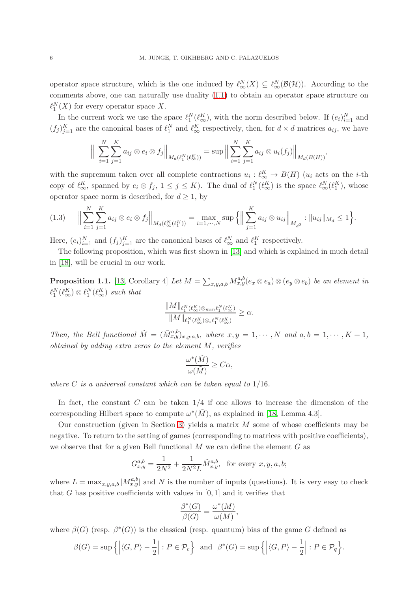operator space structure, which is the one induced by  $\ell_{\infty}^{N}(X) \subseteq \ell_{\infty}^{N}(\mathcal{B}(\mathcal{H}))$ . According to the comments above, one can naturally use duality [\(1.1\)](#page-4-0) to obtain an operator space structure on  $\ell_1^N(X)$  for every operator space X.

In the current work we use the space  $\ell_1^N(\ell_\infty^K)$ , with the norm described below. If  $(e_i)_{i=1}^N$  and  $(f_j)_{j=1}^K$  are the canonical bases of  $\ell_1^N$  and  $\ell_\infty^K$  respectively, then, for  $d \times d$  matrices  $a_{ij}$ , we have

$$
\Big\| \sum_{i=1}^N \sum_{j=1}^K a_{ij} \otimes e_i \otimes f_j \Big\|_{M_d(\ell_1^N(\ell_\infty^K))} = \sup \Big\| \sum_{i=1}^N \sum_{j=1}^K a_{ij} \otimes u_i(f_j) \Big\|_{M_d(B(H))},
$$

with the supremum taken over all complete contractions  $u_i: \ell_{\infty}^K \to B(H)$  ( $u_i$  acts on the *i*-th copy of  $\ell_{\infty}^K$ , spanned by  $e_i \otimes f_j$ ,  $1 \leq j \leq K$ ). The dual of  $\ell_1^N(\ell_{\infty}^K)$  is the space  $\ell_{\infty}^N(\ell_1^K)$ , whose operator space norm is described, for  $d \geq 1$ , by

<span id="page-5-1"></span>
$$
(1.3) \qquad \Big\|\sum_{i=1}^N\sum_{j=1}^K a_{ij}\otimes e_i\otimes f_j\Big\|_{M_d(\ell_\infty^N(\ell_1^K))}=\max_{i=1,\cdots,N}\sup\Big\{\Big\|\sum_{j=1}^K a_{ij}\otimes u_{ij}\Big\|_{M_{d^2}}:\|u_{ij}\|_{M_d}\leq 1\Big\}.
$$

Here,  $(e_i)_{i=1}^N$  and  $(f_j)_{j=1}^K$  are the canonical bases of  $\ell_{\infty}^N$  and  $\ell_{1}^K$  respectively.

The following proposition, which was first shown in [\[13\]](#page-18-2) and which is explained in much detail in [\[18\]](#page-18-5), will be crucial in our work.

<span id="page-5-0"></span>**Proposition 1.1.** [\[13,](#page-18-2) Corollary 4] Let  $M = \sum_{x,y,a,b} M_{x,y}^{a,b}(e_x \otimes e_a) \otimes (e_y \otimes e_b)$  be an element in  $\ell_1^N(\ell_\infty^K) \otimes \ell_1^N(\ell_\infty^K)$  such that

$$
\frac{\|M\|_{\ell_1^N(\ell_\infty^K)\otimes_{min}\ell_1^N(\ell_\infty^K)}}{\|M\|_{\ell_1^N(\ell_\infty^K)\otimes_\epsilon \ell_1^N(\ell_\infty^K)}}\geq\alpha.
$$

Then, the Bell functional  $\tilde{M} = (\tilde{M}_{x,y}^{a,b})_{x,y;a,b}$ , where  $x, y = 1, \dots, N$  and  $a, b = 1, \dots, K + 1$ ,  $obtained by adding extra zeros to the element  $M$ , verifies$ 

$$
\frac{\omega^*(\tilde{M})}{\omega(\tilde{M})} \ge C\alpha,
$$

where  $C$  is a universal constant which can be taken equal to  $1/16$ .

In fact, the constant  $C$  can be taken  $1/4$  if one allows to increase the dimension of the corresponding Hilbert space to compute  $\omega^*(\tilde{M})$ , as explained in [\[18,](#page-18-5) Lemma 4.3].

Our construction (given in Section [3\)](#page-10-0) yields a matrix  $M$  some of whose coefficients may be negative. To return to the setting of games (corresponding to matrices with positive coefficients), we observe that for a given Bell functional  $M$  we can define the element  $G$  as

$$
G_{x,y}^{a,b} = \frac{1}{2N^2} + \frac{1}{2N^2L} \tilde{M}_{x,y}^{a,b}, \text{ for every } x, y, a, b;
$$

where  $L = \max_{x,y,a,b} |M_{x,y}^{a,b}|$  and N is the number of inputs (questions). It is very easy to check that G has positive coefficients with values in  $[0, 1]$  and it verifies that

$$
\frac{\beta^*(G)}{\beta(G)} = \frac{\omega^*(M)}{\omega(M)},
$$

where  $\beta(G)$  (resp.  $\beta^*(G)$ ) is the classical (resp. quantum) bias of the game G defined as

$$
\beta(G) = \sup \left\{ \left| \langle G, P \rangle - \frac{1}{2} \right| : P \in \mathcal{P}_c \right\} \text{ and } \beta^*(G) = \sup \left\{ \left| \langle G, P \rangle - \frac{1}{2} \right| : P \in \mathcal{P}_q \right\}.
$$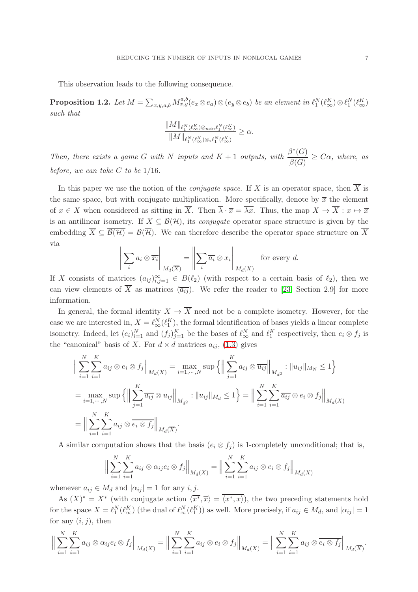This observation leads to the following consequence.

<span id="page-6-0"></span>**Proposition 1.2.** Let  $M = \sum_{x,y,a,b} M_{x,y}^{a,b}(e_x \otimes e_a) \otimes (e_y \otimes e_b)$  be an element in  $\ell_1^N(\ell_\infty^K) \otimes \ell_1^N(\ell_\infty^K)$ such that

$$
\frac{\|M\|_{\ell_1^N(\ell_\infty^K)\otimes_{min}\ell_1^N(\ell_\infty^K)}}{\|M\|_{\ell_1^N(\ell_\infty^K)\otimes_\epsilon \ell_1^N(\ell_\infty^K)}}\geq\alpha.
$$

Then, there exists a game G with N inputs and  $K + 1$  outputs, with  $\frac{\beta^*(G)}{\beta(G)}$  $\frac{\partial^2 (G)}{\partial(G)} \geq C\alpha$ , where, as before, we can take  $C$  to be  $1/16$ .

In this paper we use the notion of the *conjugate space*. If X is an operator space, then  $\overline{X}$  is the same space, but with conjugate multiplication. More specifically, denote by  $\bar{x}$  the element of  $x \in X$  when considered as sitting in  $\overline{X}$ . Then  $\overline{\lambda} \cdot \overline{x} = \overline{\lambda x}$ . Thus, the map  $X \to \overline{X} : x \mapsto \overline{x}$ is an antilinear isometry. If  $X \subseteq \mathcal{B}(\mathcal{H})$ , its *conjugate* operator space structure is given by the embedding  $\overline{X} \subseteq \overline{\mathcal{B}(\mathcal{H})} = \mathcal{B}(\overline{\mathcal{H}})$ . We can therefore describe the operator space structure on  $\overline{X}$ via

$$
\left\| \sum_{i} a_{i} \otimes \overline{x_{i}} \right\|_{M_{d}(\overline{X})} = \left\| \sum_{i} \overline{a_{i}} \otimes x_{i} \right\|_{M_{d}(X)}
$$
 for every d.

If X consists of matrices  $(a_{ij})_{i,j=1}^{\infty} \in B(\ell_2)$  (with respect to a certain basis of  $\ell_2$ ), then we can view elements of  $\overline{X}$  as matrices  $(\overline{a_{ij}})$ . We refer the reader to [\[23,](#page-18-11) Section 2.9] for more information.

In general, the formal identity  $X \to \overline{X}$  need not be a complete isometry. However, for the case we are interested in,  $X = \ell_{\infty}^{N}(\ell_{1}^{K})$ , the formal identification of bases yields a linear complete isometry. Indeed, let  $(e_i)_{i=1}^N$  and  $(f_j)_{j=1}^K$  be the bases of  $\ell_{\infty}^N$  and  $\ell_1^K$  respectively, then  $e_i \otimes f_j$  is the "canonical" basis of X. For  $d \times d$  matrices  $a_{ij}$ , [\(1.3\)](#page-5-1) gives

$$
\Big\| \sum_{i=1}^{N} \sum_{i=1}^{K} a_{ij} \otimes e_i \otimes f_j \Big\|_{M_d(X)} = \max_{i=1,\dots,N} \sup \Big\{ \Big\| \sum_{j=1}^{K} a_{ij} \otimes \overline{u_{ij}} \Big\|_{M_d2} : \|u_{ij}\|_{M_N} \le 1 \Big\}
$$
  
= 
$$
\max_{i=1,\dots,N} \sup \Big\{ \Big\| \sum_{j=1}^{K} \overline{a_{ij}} \otimes u_{ij} \Big\|_{M_d2} : \|u_{ij}\|_{M_d} \le 1 \Big\} = \Big\| \sum_{i=1}^{N} \sum_{i=1}^{K} \overline{a_{ij}} \otimes e_i \otimes f_j \Big\|_{M_d(X)}
$$
  
= 
$$
\Big\| \sum_{i=1}^{N} \sum_{i=1}^{K} a_{ij} \otimes \overline{e_i \otimes f_j} \Big\|_{M_d(\overline{X})}.
$$

A similar computation shows that the basis  $(e_i \otimes f_j)$  is 1-completely unconditional; that is,

$$
\Big\| \sum_{i=1}^{N} \sum_{i=1}^{K} a_{ij} \otimes \alpha_{ij} e_i \otimes f_j \Big\|_{M_d(X)} = \Big\| \sum_{i=1}^{N} \sum_{i=1}^{K} a_{ij} \otimes e_i \otimes f_j \Big\|_{M_d(X)}
$$

whenever  $a_{ij} \in M_d$  and  $|\alpha_{ij}| = 1$  for any i, j.

As  $(X)^* = X^*$  (with conjugate action  $\langle \overline{x^*}, \overline{x} \rangle = \langle x^*, x \rangle$ ), the two preceding statements hold for the space  $X = \ell_1^N(\ell_\infty^K)$  (the dual of  $\ell_\infty^N(\ell_1^K)$ ) as well. More precisely, if  $a_{ij} \in M_d$ , and  $|\alpha_{ij}| = 1$ for any  $(i, j)$ , then

$$
\Big\|\sum_{i=1}^N\sum_{i=1}^K a_{ij}\otimes \alpha_{ij}e_i\otimes f_j\Big\|_{M_d(X)}=\Big\|\sum_{i=1}^N\sum_{i=1}^K a_{ij}\otimes e_i\otimes f_j\Big\|_{M_d(X)}=\Big\|\sum_{i=1}^N\sum_{i=1}^K a_{ij}\otimes \overline{e_i\otimes f_j}\Big\|_{M_d(\overline{X})}.
$$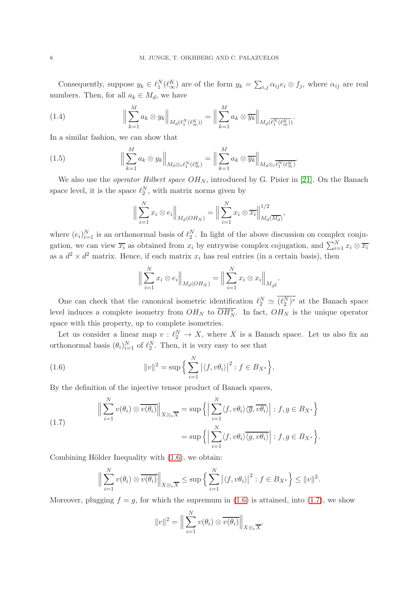Consequently, suppose  $y_k \in \ell_1^N(\ell_\infty^K)$  are of the form  $y_k = \sum_{i,j} \alpha_{ij} e_i \otimes f_j$ , where  $\alpha_{ij}$  are real numbers. Then, for all  $a_k \in M_d$ , we have

<span id="page-7-2"></span>(1.4) 
$$
\Big\|\sum_{k=1}^M a_k \otimes y_k\Big\|_{M_d(\ell_1^N(\ell_\infty^K))} = \Big\|\sum_{k=1}^M a_k \otimes \overline{y_k}\Big\|_{M_d(\overline{\ell_1^N(\ell_\infty^K)})}.
$$

In a similar fashion, we can show that

(1.5) 
$$
\Big\|\sum_{k=1}^M a_k \otimes y_k\Big\|_{M_d \otimes \epsilon\ell_1^N(\ell_\infty^K)} = \Big\|\sum_{k=1}^M a_k \otimes \overline{y_k}\Big\|_{M_d \otimes \epsilon\overline{\ell_1^N(\ell_\infty^K)}}.
$$

We also use the *operator Hilbert space*  $OH_N$ , introduced by G. Pisier in [\[21\]](#page-18-12). On the Banach space level, it is the space  $\ell_2^N$ , with matrix norms given by

<span id="page-7-3"></span>
$$
\Big\|\sum_{i=1}^N x_i \otimes e_i\Big\|_{M_d(OH_N)} = \Big\|\sum_{i=1}^N x_i \otimes \overline{x_i}\Big\|_{M_d(\overline{M_d})}^{1/2},
$$

where  $(e_i)_{i=1}^N$  is an orthonormal basis of  $\ell_2^N$ . In light of the above discussion on complex conjugation, we can view  $\overline{x_i}$  as obtained from  $x_i$  by entrywise complex cojugation, and  $\sum_{i=1}^{N} x_i \otimes \overline{x_i}$ as a  $d^2 \times d^2$  matrix. Hence, if each matrix  $x_i$  has real entries (in a certain basis), then

<span id="page-7-0"></span>
$$
\Big\| \sum_{i=1}^{N} x_i \otimes e_i \Big\|_{M_d(OH_N)} = \Big\| \sum_{i=1}^{N} x_i \otimes x_i \Big\|_{M_{d^2}}.
$$

One can check that the canonical isometric identification  $\ell_2^N \simeq (\ell_2^N)^*$  at the Banach space level induces a complete isometry from  $OH_N$  to  $OH_N^*$ . In fact,  $OH_N$  is the unique operator space with this property, up to complete isometries.

Let us consider a linear map  $v: \ell_2^N \to X$ , where X is a Banach space. Let us also fix an orthonormal basis  $(\theta_i)_{i=1}^N$  of  $\ell_2^N$ . Then, it is very easy to see that

(1.6) 
$$
||v||^2 = \sup \Big\{ \sum_{i=1}^N |\langle f, v\theta_i \rangle|^2 : f \in B_{X^*} \Big\},
$$

By the definition of the injective tensor product of Banach spaces,

<span id="page-7-1"></span>(1.7) 
$$
\Big\|\sum_{i=1}^N v(\theta_i) \otimes \overline{v(\theta_i)}\Big\|_{X \otimes_{\epsilon} \overline{X}} = \sup \Big\{\Big|\sum_{i=1}^N \langle f, v\theta_i \rangle \langle \overline{g}, \overline{v\theta_i} \rangle\Big| : f, g \in B_{X^*}\Big\}
$$

$$
= \sup \Big\{\Big|\sum_{i=1}^N \langle f, v\theta_i \rangle \overline{\langle g, v\theta_i} \rangle\Big| : f, g \in B_{X^*}\Big\}.
$$

Combining Hölder Inequality with  $(1.6)$ , we obtain:

$$
\Big\|\sum_{i=1}^N v(\theta_i) \otimes \overline{v(\theta_i)}\Big\|_{X\otimes_{\epsilon} \overline{X}} \leq \sup \Big\{\sum_{i=1}^N |\langle f, v\theta_i\rangle|^2 : f \in B_{X^*}\Big\} \leq \|v\|^2.
$$

Moreover, plugging  $f = g$ , for which the supremum in [\(1.6\)](#page-7-0) is attained, into [\(1.7\)](#page-7-1), we show

$$
||v||^2 = \Big\|\sum_{i=1}^N v(\theta_i) \otimes \overline{v(\theta_i)}\Big\|_{X \otimes_{\epsilon} \overline{X}}.
$$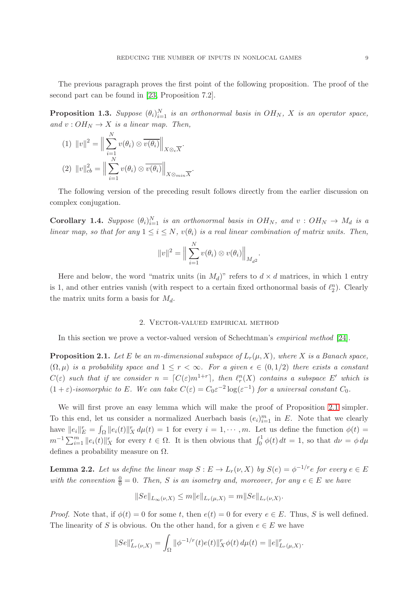The previous paragraph proves the first point of the following proposition. The proof of the second part can be found in [\[23,](#page-18-11) Proposition 7.2].

<span id="page-8-3"></span>**Proposition 1.3.** Suppose  $(\theta_i)_{i=1}^N$  is an orthonormal basis in  $OH_N$ , X is an operator space, and  $v: OH_N \to X$  is a linear map. Then,

$$
(1) \quad ||v||^2 = \Big\|\sum_{i=1}^N v(\theta_i) \otimes \overline{v(\theta_i)}\Big\|_{X \otimes_{\epsilon} \overline{X}}.
$$

$$
(2) \quad ||v||_{cb}^2 = \Big\|\sum_{i=1}^N v(\theta_i) \otimes \overline{v(\theta_i)}\Big\|_{X \otimes_{min} \overline{X}}.
$$

The following version of the preceding result follows directly from the earlier discussion on complex conjugation.

<span id="page-8-4"></span>**Corollary 1.4.** Suppose  $(\theta_i)_{i=1}^N$  is an orthonormal basis in  $OH_N$ , and  $v: OH_N \rightarrow M_d$  is a linear map, so that for any  $1 \leq i \leq N$ ,  $v(\theta_i)$  is a real linear combination of matrix units. Then,

$$
||v||^2 = \Big\|\sum_{i=1}^N v(\theta_i) \otimes v(\theta_i)\Big\|_{M_{d^2}}.
$$

Here and below, the word "matrix units (in  $M_d$ )" refers to  $d \times d$  matrices, in which 1 entry is 1, and other entries vanish (with respect to a certain fixed orthonormal basis of  $\ell_2^n$ ). Clearly the matrix units form a basis for  $M_d$ .

## 2. Vector-valued empirical method

<span id="page-8-0"></span>In this section we prove a vector-valued version of Schechtman's empirical method [\[24\]](#page-18-9).

<span id="page-8-1"></span>**Proposition 2.1.** Let E be an m-dimensional subspace of  $L_r(\mu, X)$ , where X is a Banach space,  $(\Omega, \mu)$  is a probability space and  $1 \leq r < \infty$ . For a given  $\epsilon \in (0, 1/2)$  there exists a constant  $C(\varepsilon)$  such that if we consider  $n = \lceil C(\varepsilon) m^{1+r} \rceil$ , then  $\ell_r^n(X)$  contains a subspace E' which is  $(1+\varepsilon)$ -isomorphic to E. We can take  $C(\varepsilon) = C_0 \varepsilon^{-2} \log(\varepsilon^{-1})$  for a universal constant  $C_0$ .

We will first prove an easy lemma which will make the proof of Proposition [2.1](#page-8-1) simpler. To this end, let us consider a normalized Auerbach basis  $(e_i)_{i=1}^m$  in E. Note that we clearly have  $||e_i||_E^r = \int_{\Omega} ||e_i(t)||_X^r d\mu(t) = 1$  for every  $i = 1, \dots, m$ . Let us define the function  $\phi(t) =$  $m^{-1}\sum_{i=1}^m ||e_i(t)||_X^r$  for every  $t \in \Omega$ . It is then obvious that  $\int_0^1 \phi(t) dt = 1$ , so that  $d\nu = \phi d\mu$ defines a probability measure on Ω.

<span id="page-8-2"></span>**Lemma 2.2.** Let us define the linear map  $S : E \to L_r(\nu, X)$  by  $S(e) = \phi^{-1/r}e$  for every  $e \in E$ with the convention  $\frac{0}{0} = 0$ . Then, S is an isometry and, moreover, for any  $e \in E$  we have

$$
||Se||_{L_{\infty}(\nu,X)} \le m||e||_{L_r(\mu,X)} = m||Se||_{L_r(\nu,X)}.
$$

*Proof.* Note that, if  $\phi(t) = 0$  for some t, then  $e(t) = 0$  for every  $e \in E$ . Thus, S is well defined. The linearity of S is obvious. On the other hand, for a given  $e \in E$  we have

$$
||Se||_{L_r(\nu,X)}^r = \int_{\Omega} ||\phi^{-1/r}(t)e(t)||_X^r \phi(t) d\mu(t) = ||e||_{L_r(\mu,X)}^r.
$$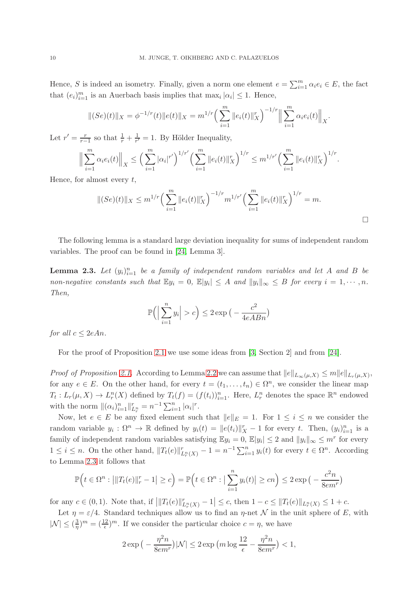Hence, S is indeed an isometry. Finally, given a norm one element  $e = \sum_{i=1}^{m} \alpha_i e_i \in E$ , the fact that  $(e_i)_{i=1}^m$  is an Auerbach basis implies that  $\max_i |\alpha_i| \leq 1$ . Hence,

$$
||(Se)(t)||_X = \phi^{-1/r}(t) ||e(t)||_X = m^{1/r} \left(\sum_{i=1}^m ||e_i(t)||_X^r\right)^{-1/r} \left\|\sum_{i=1}^m \alpha_i e_i(t)\right\|_X
$$

Let  $r'=\frac{r}{r}$  $\frac{r}{r-1}$  so that  $\frac{1}{r} + \frac{1}{r'}$  $\frac{1}{r'} = 1$ . By Hölder Inequality,

$$
\Big\|\sum_{i=1}^m \alpha_i e_i(t)\Big\|_X \le \Big(\sum_{i=1}^m |\alpha_i|^{r'}\Big)^{1/r'} \Big(\sum_{i=1}^m \|e_i(t)\|_X^r\Big)^{1/r} \le m^{1/r'} \Big(\sum_{i=1}^m \|e_i(t)\|_X^r\Big)^{1/r}.
$$

Hence, for almost every  $t$ ,

$$
||(Se)(t)||_X \le m^{1/r} \left(\sum_{i=1}^m ||e_i(t)||_X^r\right)^{-1/r} m^{1/r'} \left(\sum_{i=1}^m ||e_i(t)||_X^r\right)^{1/r} = m.
$$

.

The following lemma is a standard large deviation inequality for sums of independent random variables. The proof can be found in [\[24,](#page-18-9) Lemma 3].

<span id="page-9-0"></span>**Lemma 2.3.** Let  $(y_i)_{i=1}^n$  be a family of independent random variables and let A and B be non-negative constants such that  $\mathbb{E}y_i = 0$ ,  $\mathbb{E}|y_i| \leq A$  and  $||y_i||_{\infty} \leq B$  for every  $i = 1, \dots, n$ . Then,

$$
\mathbb{P}\Big(\Big|\sum_{i=1}^n y_i\Big| > c\Big) \le 2 \exp\big(-\frac{c^2}{4eABn}\big)
$$

for all  $c \leq 2eAn$ .

For the proof of Proposition [2.1](#page-8-1) we use some ideas from [\[3,](#page-17-4) Section 2] and from [\[24\]](#page-18-9).

*Proof of Proposition [2.1.](#page-8-1)* According to Lemma [2.2](#page-8-2) we can assume that  $||e||_{L_{\infty}(\mu,X)} \le m||e||_{L_{r}(\mu,X)}$ , for any  $e \in E$ . On the other hand, for every  $t = (t_1, \ldots, t_n) \in \Omega^n$ , we consider the linear map  $T_t: L_r(\mu, X) \to L_r^n(X)$  defined by  $T_t(f) = (f(t_i))_{i=1}^n$ . Here,  $L_r^n$  denotes the space  $\mathbb{R}^n$  endowed with the norm  $\|(\alpha_i)_{i=1}^n\|_{L_r^n}^r = n^{-1} \sum_{i=1}^n |\alpha_i|^r$ .

Now, let  $e \in E$  be any fixed element such that  $||e||_E = 1$ . For  $1 \le i \le n$  we consider the random variable  $y_i : \Omega^n \to \mathbb{R}$  defined by  $y_i(t) = ||e(t_i)||_X^r - 1$  for every t. Then,  $(y_i)_{i=1}^n$  is a family of independent random variables satisfying  $\mathbb{E}y_i = 0$ ,  $\mathbb{E}|y_i| \leq 2$  and  $||y_i||_{\infty} \leq m^r$  for every  $1 \leq i \leq n$ . On the other hand,  $||T_t(e)||^r_{L^m_t(X)} - 1 = n^{-1} \sum_{i=1}^n y_i(t)$  for every  $t \in \Omega^n$ . According to Lemma [2.3](#page-9-0) it follows that

$$
\mathbb{P}\Big(t\in\Omega^n:\left|\|T_t(e)\|_r^r-1\right|\geq c\Big)=\mathbb{P}\Big(t\in\Omega^n:\left|\sum_{i=1}^ny_i(t)\right|\geq cn\Big)\leq 2\exp\big(-\frac{c^2n}{8em^r}\big)
$$

for any  $c \in (0,1)$ . Note that, if  $||T_t(e)||^r_{L^n_r(X)} - 1| \leq c$ , then  $1 - c \leq ||T_t(e)||_{L^n_r(X)} \leq 1 + c$ .

Let  $\eta = \varepsilon/4$ . Standard techniques allow us to find an  $\eta$ -net N in the unit sphere of E, with  $|\mathcal{N}| \leq (\frac{3}{\eta})$  $\frac{3}{\eta}$ )<sup>*m*</sup> =  $(\frac{12}{\epsilon})^m$ . If we consider the particular choice  $c = \eta$ , we have

$$
2\exp\big(-\frac{\eta^2n}{8em^r}\big)|\mathcal{N}| \le 2\exp\big(m\log\frac{12}{\epsilon} - \frac{\eta^2n}{8em^r}\big) < 1,
$$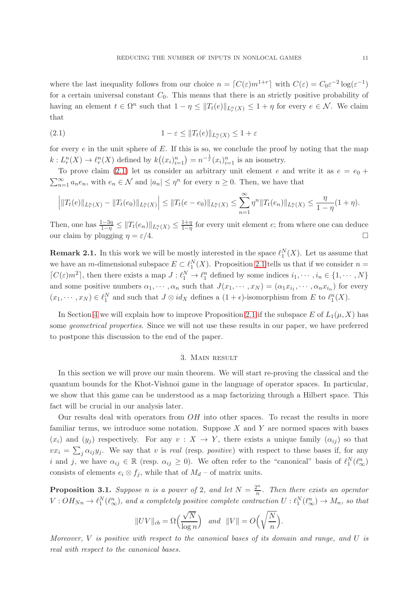where the last inequality follows from our choice  $n = [C(\varepsilon)m^{1+r}]$  with  $C(\varepsilon) = C_0 \varepsilon^{-2} \log(\varepsilon^{-1})$ for a certain universal constant  $C_0$ . This means that there is an strictly positive probability of having an element  $t \in \Omega^n$  such that  $1 - \eta \leq ||T_t(e)||_{L_r^n(X)} \leq 1 + \eta$  for every  $e \in \mathcal{N}$ . We claim that

<span id="page-10-1"></span>(2.1) 
$$
1 - \varepsilon \leq \|T_t(e)\|_{L_t^n(X)} \leq 1 + \varepsilon
$$

for every  $e$  in the unit sphere of  $E$ . If this is so, we conclude the proof by noting that the map  $k: L_r^n(X) \to \ell_r^n(X)$  defined by  $k((x_i)_{i=1}^n) = n^{-\frac{1}{r}}(x_i)_{i=1}^n$  is an isometry.

To prove claim [\(2.1\)](#page-10-1) let us consider an arbitrary unit element e and write it as  $e = e_0 +$  $\sum_{n=1}^{\infty} a_n e_n$ , with  $e_n \in \mathcal{N}$  and  $|a_n| \leq \eta^n$  for every  $n \geq 0$ . Then, we have that

$$
\left| \|T_t(e)\|_{L_r^n(X)} - \|T_t(e_0)\|_{L_r^n(X)} \right| \le \|T_t(e - e_0)\|_{L_r^n(X)} \le \sum_{n=1}^{\infty} \eta^n \|T_t(e_n)\|_{L_r^n(X)} \le \frac{\eta}{1-\eta}(1+\eta).
$$

Then, one has  $\frac{1-3\eta}{1-\eta} \leq ||T_t(e_n)||_{L_r^n(X)} \leq \frac{1+\eta}{1-\eta}$  $\frac{1+\eta}{1-\eta}$  for every unit element *e*; from where one can deduce our claim by plugging  $\eta = \varepsilon/4$ .

<span id="page-10-3"></span>**Remark 2.1.** In this work we will be mostly interested in the space  $\ell_1^N(X)$ . Let us assume that we have an *m*-dimensional subspace  $E \subset \ell_1^N(X)$ . Proposition [2.1](#page-8-1) tells us that if we consider  $n =$  $[C(\varepsilon)m^2]$ , then there exists a map  $J: \ell_1^N \to \ell_1^n$  defined by some indices  $i_1, \dots, i_n \in \{1, \dots, N\}$ and some positive numbers  $\alpha_1, \dots, \alpha_n$  such that  $J(x_1, \dots, x_N) = (\alpha_1 x_{i_1}, \dots, \alpha_n x_{i_n})$  for every  $(x_1, \dots, x_N) \in \ell_1^N$  and such that  $J \otimes id_X$  defines a  $(1 + \epsilon)$ -isomorphism from E to  $\ell_1^n(X)$ .

In Section [4](#page-15-0) we will explain how to improve Proposition [2.1](#page-8-1) if the subspace E of  $L_1(\mu, X)$  has some geometrical properties. Since we will not use these results in our paper, we have preferred to postpone this discussion to the end of the paper.

### 3. Main result

<span id="page-10-0"></span>In this section we will prove our main theorem. We will start re-proving the classical and the quantum bounds for the Khot-Vishnoi game in the language of operator spaces. In particular, we show that this game can be understood as a map factorizing through a Hilbert space. This fact will be crucial in our analysis later.

Our results deal with operators from OH into other spaces. To recast the results in more familiar terms, we introduce some notation. Suppose  $X$  and  $Y$  are normed spaces with bases  $(x_i)$  and  $(y_i)$  respectively. For any  $v: X \to Y$ , there exists a unique family  $(\alpha_{ij})$  so that  $vx_i = \sum_j \alpha_{ij} y_j$ . We say that v is real (resp. positive) with respect to these bases if, for any i and j, we have  $\alpha_{ij} \in \mathbb{R}$  (resp.  $\alpha_{ij} \geq 0$ ). We often refer to the "canonical" basis of  $\ell_1^N(\ell_\infty^n)$ consists of elements  $e_i \otimes f_j$ , while that of  $M_d$  – of matrix units.

<span id="page-10-2"></span>**Proposition 3.1.** Suppose *n* is a power of 2, and let  $N = \frac{2^n}{n}$  $\frac{m}{n}$ . Then there exists an operator  $V:OH_{Nn}\to \ell_1^N(\ell_\infty^n)$ , and a completely positive complete contraction  $U: \ell_1^N(\ell_\infty^n)\to M_n$ , so that

$$
||UV||_{cb} = \Omega\left(\frac{\sqrt{N}}{\log n}\right) \quad and \quad ||V|| = O\left(\sqrt{\frac{N}{n}}\right)
$$

.

Moreover,  $V$  is positive with respect to the canonical bases of its domain and range, and  $U$  is real with respect to the canonical bases.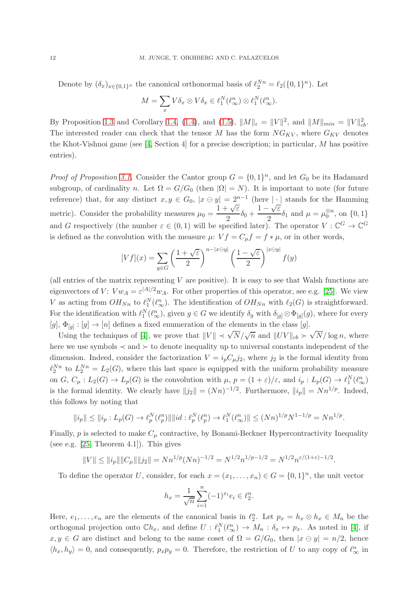Denote by  $(\delta_x)_{x \in \{0,1\}^n}$  the canonical orthonormal basis of  $\ell_2^{Nn} = \ell_2(\{0,1\}^n)$ . Let

$$
M = \sum_{x} V \delta_x \otimes V \delta_x \in \ell_1^N(\ell_\infty^n) \otimes \ell_1^N(\ell_\infty^n).
$$

By Proposition [1.3](#page-8-3) and Corollary [1.4,](#page-8-4) [\(1.4\)](#page-7-2), and [\(1.5\)](#page-7-3),  $||M||_{\epsilon} = ||V||^2$ , and  $||M||_{min} = ||V||_{cb}^2$ . The interested reader can check that the tensor  $M$  has the form  $NG_{KV}$ , where  $G_{KV}$  denotes the Khot-Vishnoi game (see [\[4,](#page-17-3) Section 4] for a precise description; in particular, M has positive entries).

*Proof of Proposition [3.1.](#page-10-2)* Consider the Cantor group  $G = \{0, 1\}^n$ , and let  $G_0$  be its Hadamard subgroup, of cardinality n. Let  $\Omega = G/G_0$  (then  $|\Omega| = N$ ). It is important to note (for future reference) that, for any distinct  $x, y \in G_0$ ,  $|x \ominus y| = 2^{n-1}$  (here  $|\cdot|$  stands for the Hamming metric). Consider the probability measures  $\mu_0 =$  $1 + \sqrt{\varepsilon}$  $-\frac{\sqrt{\varepsilon}}{2}\delta_0 + \frac{1-\sqrt{\varepsilon}}{2}$  $\frac{\partial^2 \mathbf{v} \cdot \mathbf{v}}{\partial \mathbf{v}} = \mu_0^{\otimes n}$ , on  $\{0, 1\}$ and G respectively (the number  $\varepsilon \in (0,1)$  will be specified later). The operator  $V : \mathbb{C}^G \to \mathbb{C}^G$ is defined as the convolution with the measure  $\mu$ :  $V f = C_{\mu} f = f * \mu$ , or in other words,

$$
[Vf](x) = \sum_{y \in G} \left(\frac{1+\sqrt{\varepsilon}}{2}\right)^{n-|x \ominus y|} \left(\frac{1-\sqrt{\varepsilon}}{2}\right)^{|x \ominus y|} f(y)
$$

(all entries of the matrix representing  $V$  are positive). It is easy to see that Walsh functions are eigenvectors of V:  $V w_A = \varepsilon^{|A|/2} w_A$ . For other properties of this operator, see e.g. [\[25\]](#page-18-13). We view V as acting from  $OH_{Nn}$  to  $\ell_1^N(\ell_{\infty}^n)$ . The identification of  $OH_{Nn}$  with  $\ell_2(G)$  is straightforward. For the identification with  $\ell_1^N(\ell_\infty^n)$ , given  $g \in G$  we identify  $\delta_g$  with  $\delta_{[g]} \otimes \Phi_{[g]}(g)$ , where for every  $[g], \Phi_{[g]} : [g] \to [n]$  defines a fixed enumeration of the elements in the class  $[g]$ .

Using the techniques of [\[4\]](#page-17-3), we prove that  $||V|| \prec \sqrt{N}/\sqrt{n}$  and  $||UV||_{cb} \succ \sqrt{N}/\log n$ , where here we use symbols ≺ and ≻ to denote inequality up to universal constants independent of the dimension. Indeed, consider the factorization  $V = i_p C_\mu j_2$ , where  $j_2$  is the formal identity from  $\ell_2^{Nn}$  to  $L_2^{Nn} = L_2(G)$ , where this last space is equipped with the uniform probability measure on G,  $C_{\mu}: L_2(G) \to L_p(G)$  is the convolution with  $\mu, p = (1 + \varepsilon)/\varepsilon$ , and  $i_p: L_p(G) \to \ell_1^N(\ell_\infty^n)$ is the formal identity. We clearly have  $||j_2|| = (Nn)^{-1/2}$ . Furthermore,  $||i_p|| = Nn^{1/p}$ . Indeed, this follows by noting that

$$
||i_p|| \le ||i_p: L_p(G) \to \ell_p^N(\ell_p^n) || ||id: \ell_p^N(\ell_p^n) \to \ell_1^N(\ell_\infty^n) || \le (Nn)^{1/p} N^{1-1/p} = Nn^{1/p}.
$$

Finally,  $p$  is selected to make  $C_{\mu}$  contractive, by Bonami-Beckner Hypercontractivity Inequality (see e.g.  $[25,$  Theorem 4.1]). This gives

$$
||V|| \le ||i_p|| ||C_\mu|| ||j_2|| = Nn^{1/p} (Nn)^{-1/2} = N^{1/2} n^{1/p-1/2} = N^{1/2} n^{\varepsilon/(1+\varepsilon)-1/2}.
$$

To define the operator U, consider, for each  $x = (x_1, \ldots, x_n) \in G = \{0, 1\}^n$ , the unit vector

$$
h_x = \frac{1}{\sqrt{n}} \sum_{i=1}^n (-1)^{x_i} e_i \in \ell_2^n.
$$

Here,  $e_1, \ldots, e_n$  are the elements of the canonical basis in  $\ell_2^n$ . Let  $p_x = h_x \otimes h_x \in M_n$  be the orthogonal projection onto  $\mathbb{C}h_x$ , and define  $U: \ell_1^N(\ell_\infty^n) \to M_n: \delta_x \mapsto p_x$ . As noted in [\[4\]](#page-17-3), if  $x, y \in G$  are distinct and belong to the same coset of  $\Omega = G/G_0$ , then  $|x \ominus y| = n/2$ , hence  $\langle h_x, h_y \rangle = 0$ , and consequently,  $p_x p_y = 0$ . Therefore, the restriction of U to any copy of  $\ell_{\infty}^n$  in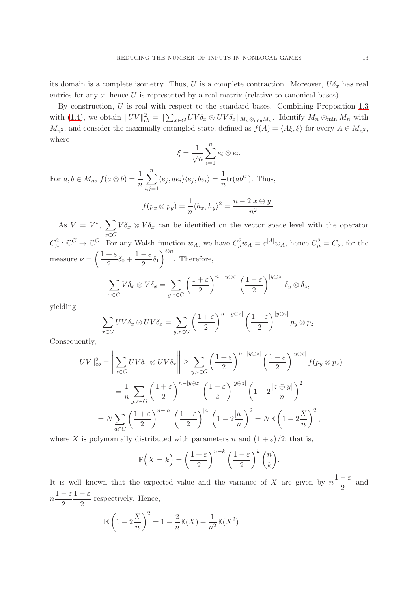its domain is a complete isometry. Thus, U is a complete contraction. Moreover,  $U\delta_x$  has real entries for any  $x$ , hence  $U$  is represented by a real matrix (relative to canonical bases).

By construction, U is real with respect to the standard bases. Combining Proposition [1.3](#page-8-3) with [\(1.4\)](#page-7-2), we obtain  $||UV||_{cb}^2 = ||\sum_{x \in G} UV\delta_x \otimes UV\delta_x||_{M_n \otimes_{\min} M_n}$ . Identify  $M_n \otimes_{\min} M_n$  with  $M_{n^2}$ , and consider the maximally entangled state, defined as  $f(A) = \langle A\xi, \xi \rangle$  for every  $A \in M_{n^2}$ , where

$$
\xi = \frac{1}{\sqrt{n}} \sum_{i=1}^{n} e_i \otimes e_i.
$$

For  $a, b \in M_n$ ,  $f(a \otimes b) = \frac{1}{n}$  $\sum_{n=1}^{\infty}$  $i,j=1$  $\langle e_j, ae_i\rangle \langle e_j, be_i\rangle = \frac{1}{n}$  $\frac{1}{n}$ tr( $ab^{tr}$ ). Thus,  $f(p_x \otimes p_y) = \frac{1}{n} \langle h_x, h_y \rangle^2 = \frac{n - 2|x \ominus y|}{n^2}$  $\frac{n^2}{s^2}$ .

As  $V = V^*$ ,  $\sum V \delta_x \otimes V \delta_x$  can be identified on the vector space level with the operator x∈G  $C_{\mu}^2: \mathbb{C}^G \to \mathbb{C}^G$ . For any Walsh function  $w_A$ , we have  $C_{\mu}^2 w_A = \varepsilon^{|A|} w_A$ , hence  $C_{\mu}^2 = C_{\nu}$ , for the measure  $\nu = \left(\frac{1+\varepsilon}{2}\right)$  $\frac{1+\varepsilon}{2}\delta_0+\frac{1-\varepsilon}{2}$  $\frac{1}{2} \delta_1$  $\Big)^{\otimes n}$ . Therefore,

$$
\sum_{x \in G} V \delta_x \otimes V \delta_x = \sum_{y,z \in G} \left(\frac{1+\varepsilon}{2}\right)^{n-|y \ominus z|} \left(\frac{1-\varepsilon}{2}\right)^{|y \ominus z|} \delta_y \otimes \delta_z,
$$

yielding

$$
\sum_{x \in G} UV \delta_x \otimes UV \delta_x = \sum_{y,z \in G} \left(\frac{1+\varepsilon}{2}\right)^{n-|y \ominus z|} \left(\frac{1-\varepsilon}{2}\right)^{|y \ominus z|} p_y \otimes p_z.
$$

Consequently,

$$
||UV||_{cb}^{2} = \left\| \sum_{x \in G} UV \delta_{x} \otimes UV \delta_{x} \right\| \ge \sum_{y,z \in G} \left( \frac{1+\varepsilon}{2} \right)^{n-|y \ominus z|} \left( \frac{1-\varepsilon}{2} \right)^{|y \ominus z|} f(p_{y} \otimes p_{z})
$$
  

$$
= \frac{1}{n} \sum_{y,z \in G} \left( \frac{1+\varepsilon}{2} \right)^{n-|y \ominus z|} \left( \frac{1-\varepsilon}{2} \right)^{|y \ominus z|} \left( 1 - 2 \frac{|z \ominus y|}{n} \right)^{2}
$$
  

$$
= N \sum_{a \in G} \left( \frac{1+\varepsilon}{2} \right)^{n-|a|} \left( \frac{1-\varepsilon}{2} \right)^{|a|} \left( 1 - 2 \frac{|a|}{n} \right)^{2} = N \mathbb{E} \left( 1 - 2 \frac{X}{n} \right)^{2},
$$

where X is polynomially distributed with parameters n and  $(1+\varepsilon)/2$ ; that is,

$$
\mathbb{P}\left(X=k\right) = \left(\frac{1+\varepsilon}{2}\right)^{n-k} \left(\frac{1-\varepsilon}{2}\right)^k \binom{n}{k}.
$$

It is well known that the expected value and the variance of X are given by  $n\frac{1-\varepsilon}{2}$  $\frac{1}{2}$  and  $n\frac{1-\varepsilon}{2}$ 2  $1+\varepsilon$  $\frac{1}{2}$  respectively. Hence,

$$
\mathbb{E}\left(1-2\frac{X}{n}\right)^2 = 1 - \frac{2}{n}\mathbb{E}(X) + \frac{1}{n^2}\mathbb{E}(X^2)
$$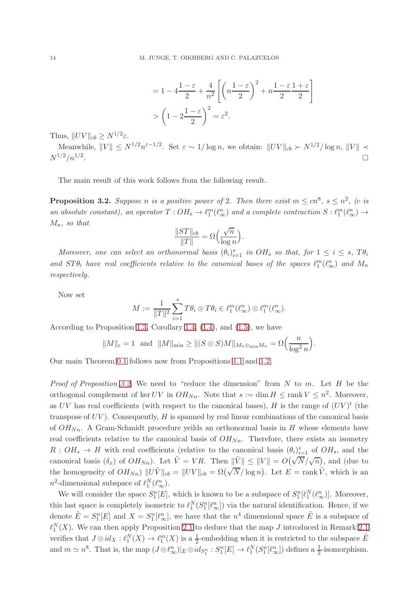$$
= 1 - 4\frac{1-\varepsilon}{2} + \frac{4}{n^2} \left[ \left( n\frac{1-\varepsilon}{2} \right)^2 + n\frac{1-\varepsilon}{2} \frac{1+\varepsilon}{2} \right]
$$

$$
> \left( 1 - 2\frac{1-\varepsilon}{2} \right)^2 = \varepsilon^2.
$$

Thus,  $||UV||_{cb} \ge N^{1/2}\varepsilon$ .

Meanwhile,  $||V|| \leq N^{1/2} n^{\varepsilon - 1/2}$ . Set  $\varepsilon \sim 1/\log n$ , we obtain:  $||UV||_{cb} \succ N^{1/2}/\log n$ ,  $||V|| \prec$  $N^{1/2}/n^{1/2}$ .

The main result of this work follows from the following result.

<span id="page-13-0"></span>**Proposition 3.2.** Suppose n is a positive power of 2. Then there exist  $m \leq cn^8$ ,  $s \leq n^2$ , (c is an absolute constant), an operator  $T:OH_s \to \ell_1^m(\ell_\infty^n)$  and a complete contraction  $S: \ell_1^m(\ell_\infty^n) \to$  $M_n$ , so that

$$
\frac{\|ST\|_{cb}}{\|T\|} = \Omega\left(\frac{\sqrt{n}}{\log n}\right)
$$

.

Moreover, one can select an orthonormal basis  $(\theta_i)_{i=1}^s$  in  $OH_s$  so that, for  $1 \leq i \leq s$ ,  $T\theta_i$ and  $ST\theta_i$  have real coefficients relative to the canonical bases of the spaces  $\ell_1^m(\ell_\infty^n)$  and  $M_n$ respectively.

Now set

$$
M := \frac{1}{\|T\|^2} \sum_{i=1}^s T \theta_i \otimes T \theta_i \in \ell_1^m(\ell_\infty^n) \otimes \ell_1^m(\ell_\infty^n).
$$

According to Proposition [1.3,](#page-8-3) Corollary [1.4,](#page-8-4) [\(1.4\)](#page-7-2), and [\(1.5\)](#page-7-3), we have

$$
||M||_{\epsilon} = 1
$$
 and  $||M||_{\min} \ge ||(S \otimes S)M||_{M_n \otimes_{\min} M_n} = \Omega\left(\frac{n}{\log^2 n}\right).$ 

Our main Theorem [0.1](#page-1-2) follows now from Propositions [1.1](#page-5-0) and [1.2.](#page-6-0)

*Proof of Proposition [3.2.](#page-13-0)* We need to "reduce the dimension" from N to m. Let H be the orthogonal complement of ker UV in  $OH_{Nn}$ . Note that  $s := \dim H \leq \text{rank } V \leq n^2$ . Moreover, as UV has real coefficients (with respect to the canonical bases), H is the range of  $(UV)^t$  (the transpose of  $UV$ ). Consequently,  $H$  is spanned by real linear combinations of the canonical basis of  $OH_{Nn}$ . A Gram-Schmidt procedure yeilds an orthonormal basis in H whose elements have real coefficients relative to the canonical basis of  $OH_{Nn}$ . Therefore, there exists an isometry  $R:OH_s \to H$  with real coefficients (relative to the canonical basis  $(\theta_i)_{i=1}^s$  of  $OH_s$ , and the canonical basis  $(\delta_x)$  of  $OH_{Nn}$ ). Let  $\tilde{V} = VR$ . Then  $\|\tilde{V}\| \leq \|V\| = O(\sqrt{N}/\sqrt{n})$ , and (due to the homogeneity of  $OH_{Nn}$ )  $||U\tilde{V}||_{cb} = ||UV||_{cb} = \Omega(\sqrt{N}/\log n)$ . Let  $E = \text{rank}\tilde{V}$ , which is an  $n^2$ -dimensional subspace of  $\ell_1^N(\ell_\infty^n)$ .

We will consider the space  $S_1^n[E]$ , which is known to be a subspace of  $S_1^n[\ell_1^N(\ell_\infty^n)]$ . Moreover, this last space is completely isometric to  $\ell_1^N(S_1^n[\ell_{\infty}^n])$  via the natural identification. Hence, if we denote  $\tilde{E} = S_1^n[E]$  and  $X = S_1^n[\ell_{\infty}^n]$ , we have that the  $n^4$  dimensional space  $\tilde{E}$  is a subspace of  $\ell_1^N(X)$ . We can then apply Proposition [2.1](#page-10-3) to deduce that the map J introduced in Remark 2.1 verifies that  $J \otimes id_X : \ell_1^N(X) \to \ell_1^m(X)$  is a  $\frac{1}{2}$ -embedding when it is restricted to the subspace  $\tilde{E}$ and  $m \simeq n^8$ . That is, the map  $(J \otimes \ell_{\infty}^n)|_E \otimes id_{S_1^n} : S_1^n[E] \to \ell_1^N(S_1^n[\ell_{\infty}^n])$  defines a  $\frac{1}{2}$ -isomorphism.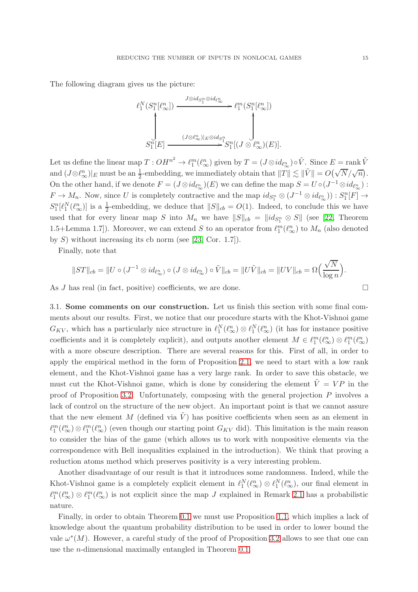The following diagram gives us the picture:

$$
\ell_1^N(S_1^n[\ell_\infty^n]) \xrightarrow{\qquad \qquad J \otimes id_{S_1^n} \otimes id_{\ell_\infty^n}} \ell_1^m(S_1^n[\ell_\infty^n])
$$
\n
$$
\downarrow \qquad \qquad \downarrow
$$
\n
$$
S_1^n[E] \xrightarrow{\qquad \qquad (J \otimes \ell_\infty^n)[E \otimes id_{S_1^n}} S_1^n[(J \otimes \ell_\infty^n)(E)].
$$

Let us define the linear map  $T:OH^{n^2}\to \ell_1^m(\ell_\infty^n)$  given by  $T=(J\otimes id_{\ell_\infty^n})\circ \tilde{V}$ . Since  $E=\text{rank }\tilde{V}$ and  $(J \otimes \ell_{\infty}^n)|_E$  must be an  $\frac{1}{2}$ -embedding, we immediately obtain that  $||T|| \lesssim ||\tilde{V}|| = O(\sqrt{N}/\sqrt{n}).$ On the other hand, if we denote  $F = (J \otimes id_{\ell_{\infty}^n})(E)$  we can define the map  $S = U \circ (J^{-1} \otimes id_{\ell_{\infty}^n})$ :  $F \to M_n$ . Now, since U is completely contractive and the map  $id_{S_1^n} \otimes (J^{-1} \otimes id_{\ell_{\infty}^n})) : S_1^n[F] \to$  $S_1^n[\ell_1^N(\ell_{\infty}^n)]$  is a  $\frac{1}{2}$ -embedding, we deduce that  $||S||_{cb} = O(1)$ . Indeed, to conclude this we have used that for every linear map S into  $M_n$  we have  $||S||_{cb} = ||id_{S_1^n} \otimes S||$  (see [\[22,](#page-18-8) Theorem 1.5+Lemma 1.7]). Moreover, we can extend S to an operator from  $\ell_1^m(\ell_\infty^n)$  to  $M_n$  (also denoted by  $S$ ) without increasing its cb norm (see [\[23,](#page-18-11) Cor. 1.7]).

Finally, note that

$$
||ST||_{cb} = ||U \circ (J^{-1} \otimes id_{\ell_{\infty}^{n}}) \circ (J \otimes id_{\ell_{\infty}^{n}}) \circ \tilde{V}||_{cb} = ||U\tilde{V}||_{cb} = ||UV||_{cb} = \Omega \left(\frac{\sqrt{N}}{\log n}\right).
$$

<span id="page-14-0"></span>As  $J$  has real (in fact, positive) coefficients, we are done.

3.1. Some comments on our construction. Let us finish this section with some final comments about our results. First, we notice that our procedure starts with the Khot-Vishnoi game  $G_{KV}$ , which has a particularly nice structure in  $\ell_1^N(\ell_\infty^n) \otimes \ell_1^N(\ell_\infty^n)$  (it has for instance positive coefficients and it is completely explicit), and outputs another element  $M \in \ell_1^m(\ell_\infty^n) \otimes \ell_1^m(\ell_\infty^n)$ with a more obscure description. There are several reasons for this. First of all, in order to apply the empirical method in the form of Proposition [2.1,](#page-8-1) we need to start with a low rank element, and the Khot-Vishnoi game has a very large rank. In order to save this obstacle, we must cut the Khot-Vishnoi game, which is done by considering the element  $\tilde{V} = VP$  in the proof of Proposition [3.2.](#page-13-0) Unfortunately, composing with the general projection P involves a lack of control on the structure of the new object. An important point is that we cannot assure that the new element M (defined via  $\tilde{V}$ ) has positive coefficients when seen as an element in  $\ell_1^m(\ell_\infty^n)\otimes\ell_1^m(\ell_\infty^n)$  (even though our starting point  $G_{KV}$  did). This limitation is the main reason to consider the bias of the game (which allows us to work with nonpositive elements via the correspondence with Bell inequalities explained in the introduction). We think that proving a reduction atoms method which preserves positivity is a very interesting problem.

Another disadvantage of our result is that it introduces some randomness. Indeed, while the Khot-Vishnoi game is a completely explicit element in  $\ell_1^N(\ell_\infty^n) \otimes \ell_1^N(\ell_\infty^n)$ , our final element in  $\ell_1^m(\ell_\infty^n) \otimes \ell_1^m(\ell_\infty^n)$  is not explicit since the map J explained in Remark [2.1](#page-10-3) has a probabilistic nature.

Finally, in order to obtain Theorem [0.1](#page-1-2) we must use Proposition [1.1,](#page-5-0) which implies a lack of knowledge about the quantum probability distribution to be used in order to lower bound the vale  $\omega^*(M)$ . However, a careful study of the proof of Proposition [3.2](#page-13-0) allows to see that one can use the n-dimensional maximally entangled in Theorem [0.1.](#page-1-2)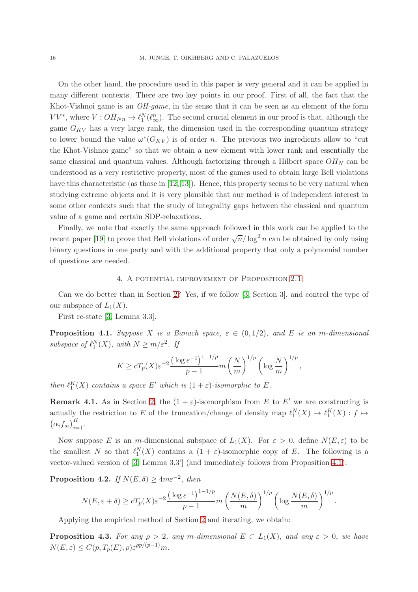On the other hand, the procedure used in this paper is very general and it can be applied in many different contexts. There are two key points in our proof. First of all, the fact that the Khot-Vishnoi game is an *OH-game*, in the sense that it can be seen as an element of the form  $VV^*$ , where  $V:OH_{Nn} \to \ell_1^N(\ell_\infty^n)$ . The second crucial element in our proof is that, although the game  $G_{KV}$  has a very large rank, the dimension used in the corresponding quantum strategy to lower bound the value  $\omega^*(G_{KV})$  is of order n. The previous two ingredients allow to "cut the Khot-Vishnoi game" so that we obtain a new element with lower rank and essentially the same classical and quantum values. Although factorizing through a Hilbert space  $OH_N$  can be understood as a very restrictive property, most of the games used to obtain large Bell violations have this characteristic (as those in [\[12,](#page-18-3) [13\]](#page-18-2)). Hence, this property seems to be very natural when studying extreme objects and it is very plausible that our method is of independent interest in some other contexts such that the study of integrality gaps between the classical and quantum value of a game and certain SDP-relaxations.

Finally, we note that exactly the same approach followed in this work can be applied to the recent paper [\[19\]](#page-18-14) to prove that Bell violations of order  $\sqrt{n}/\log^2 n$  can be obtained by only using binary questions in one party and with the additional property that only a polynomial number of questions are needed.

#### 4. A potential improvement of Proposition [2.1](#page-8-1)

<span id="page-15-0"></span>Can we do better than in Section [2?](#page-8-0) Yes, if we follow [\[3,](#page-17-4) Section 3], and control the type of our subspace of  $L_1(X)$ .

First re-state [\[3,](#page-17-4) Lemma 3.3].

<span id="page-15-1"></span>**Proposition 4.1.** Suppose X is a Banach space,  $\varepsilon \in (0, 1/2)$ , and E is an m-dimensional subspace of  $\ell_1^N(X)$ , with  $N \ge m/\varepsilon^2$ . If

$$
K \ge c T_p(X) \varepsilon^{-2} \frac{\left(\log \varepsilon^{-1}\right)^{1-1/p}}{p-1} m\left(\frac{N}{m}\right)^{1/p} \left(\log \frac{N}{m}\right)^{1/p},
$$

then  $\ell_1^K(X)$  contains a space E' which is  $(1+\varepsilon)$ -isomorphic to E.

**Remark 4.1.** As in Section [2,](#page-8-0) the  $(1 + \varepsilon)$ -isomorphism from E to E' we are constructing is actually the restriction to E of the truncation/change of density map  $\ell_1^N(X) \to \ell_1^K(X) : f \mapsto$  $(\alpha_i f_{s_i})_{i=1}^K$ .

Now suppose E is an m-dimensional subspace of  $L_1(X)$ . For  $\varepsilon > 0$ , define  $N(E, \varepsilon)$  to be the smallest N so that  $\ell_1^N(X)$  contains a  $(1 + \varepsilon)$ -isomorphic copy of E. The following is a vector-valued version of [\[3,](#page-17-4) Lemma 3.3'] (and immediately follows from Proposition [4.1\)](#page-15-1):

**Proposition 4.2.** If  $N(E, \delta) \ge 4m\varepsilon^{-2}$ , then

$$
N(E, \varepsilon + \delta) \ge cT_p(X)\varepsilon^{-2} \frac{\left(\log \varepsilon^{-1}\right)^{1-1/p}}{p-1} m\left(\frac{N(E, \delta)}{m}\right)^{1/p} \left(\log \frac{N(E, \delta)}{m}\right)^{1/p}.
$$

Applying the empirical method of Section [2](#page-8-0) and iterating, we obtain:

**Proposition 4.3.** For any  $\rho > 2$ , any m-dimensional  $E \subset L_1(X)$ , and any  $\varepsilon > 0$ , we have  $N(E, \varepsilon) \le C(p, T_p(E), \rho) \varepsilon^{\rho p/(p-1)} m.$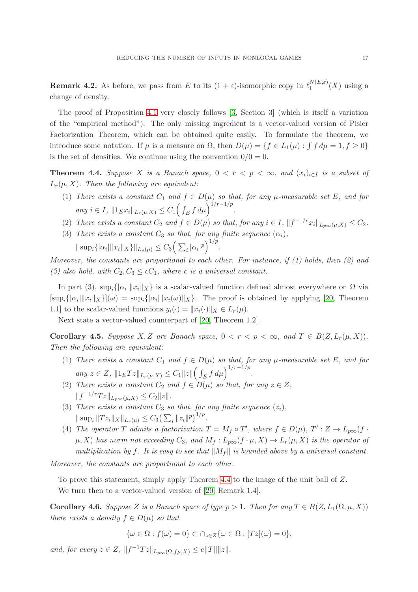**Remark 4.2.** As before, we pass from E to its  $(1 + \varepsilon)$ -isomorphic copy in  $\ell_1^{N(E,\varepsilon)}$  $\int_1^N (L,\varepsilon) (X)$  using a change of density.

The proof of Proposition [4.1](#page-15-1) very closely follows [\[3,](#page-17-4) Section 3] (which is itself a variation of the "empirical method"). The only missing ingredient is a vector-valued version of Pisier Factorization Theorem, which can be obtained quite easily. To formulate the theorem, we introduce some notation. If  $\mu$  is a measure on  $\Omega$ , then  $D(\mu) = \{ f \in L_1(\mu) : \int f d\mu = 1, f \ge 0 \}$ is the set of densities. We continue using the convention  $0/0 = 0$ .

<span id="page-16-0"></span>Theorem 4.4. Suppose X is a Banach space,  $0 < r < p < \infty$ , and  $(x_i)_{i \in I}$  is a subset of  $L_r(\mu, X)$ . Then the following are equivalent:

- (1) There exists a constant  $C_1$  and  $f \in D(\mu)$  so that, for any  $\mu$ -measurable set E, and for any  $i \in I$ ,  $||1_{E}x_{i}||_{L_{r}(\mu,X)} \leq C_{1} \left( \int_{E} f d\mu \right)^{1/r - 1/p}$ .
- (2) There exists a constant  $C_2$  and  $f \in D(\mu)$  so that, for any  $i \in I$ ,  $||f^{-1/r}x_i||_{L_{p\infty}(\mu,X)} \leq C_2$ .
- (3) There exists a constant  $C_3$  so that, for any finite sequence  $(\alpha_i)$ ,  $\|\sup_i\{|\alpha_i|\|x_i\|_X\}\|_{L_p(\mu)} \leq C_3 \left(\sum_i |\alpha_i|^p\right)^{1/p}.$

Moreover, the constants are proportional to each other. For instance, if  $(1)$  holds, then  $(2)$  and (3) also hold, with  $C_2, C_3 \leq cC_1$ , where c is a universal constant.

In part (3),  $\sup_i\{|\alpha_i| \|x_i\|_X\}$  is a scalar-valued function defined almost everywhere on  $\Omega$  via  $[\sup_i\{|a_i|\|x_i\|_X\}](\omega) = \sup_i\{|a_i|\|x_i(\omega)\|_X\}.$  The proof is obtained by applying [\[20,](#page-18-15) Theorem 1.1] to the scalar-valued functions  $y_i(\cdot) = ||x_i(\cdot)||_X \in L_r(\mu)$ .

Next state a vector-valued counterpart of [\[20,](#page-18-15) Theorem 1.2].

<span id="page-16-1"></span>Corollary 4.5. Suppose X, Z are Banach space,  $0 < r < p < \infty$ , and  $T \in B(Z, L_r(\mu, X))$ . Then the following are equivalent:

- (1) There exists a constant  $C_1$  and  $f \in D(\mu)$  so that, for any  $\mu$ -measurable set E, and for any  $z \in Z$ ,  $||1_E T z||_{L_r(\mu,X)} \leq C_1 ||z|| \left( \int_E f d\mu \right)^{1/r - 1/p}$ .
- (2) There exists a constant  $C_2$  and  $f \in D(\mu)$  so that, for any  $z \in Z$ ,  $||f^{-1/r}Tz||_{L_{p\infty}(\mu,X)} \leq C_2||z||.$
- (3) There exists a constant  $C_3$  so that, for any finite sequence  $(z_i)$ ,  $\|\sup_i \|Tz_i\|_X\|_{L_r(\mu)} \leq C_3 \left(\sum_i \|z_i\|^p\right)^{1/p}.$
- (4) The operator T admits a factorization  $T = M_f \circ T'$ , where  $f \in D(\mu)$ ,  $T' : Z \to L_{p\infty}(f \cdot$  $\mu$ , X) has norm not exceeding  $C_3$ , and  $M_f: L_{p\infty}(f \cdot \mu, X) \to L_r(\mu, X)$  is the operator of multiplication by f. It is easy to see that  $||M_f||$  is bounded above by a universal constant.

Moreover, the constants are proportional to each other.

To prove this statement, simply apply Theorem [4.4](#page-16-0) to the image of the unit ball of Z. We turn then to a vector-valued version of [\[20,](#page-18-15) Remark 1.4].

Corollary 4.6. Suppose Z is a Banach space of type  $p > 1$ . Then for any  $T \in B(Z, L_1(\Omega, \mu, X))$ there exists a density  $f \in D(\mu)$  so that

 $\{\omega \in \Omega : f(\omega) = 0\} \subset \bigcap_{z \in Z} {\{\omega \in \Omega : [Tz](\omega) = 0\}},$ 

and, for every  $z \in Z$ ,  $||f^{-1}Tz||_{L_{p\infty}(\Omega, f\mu,X)} \leq e||T|| ||z||$ .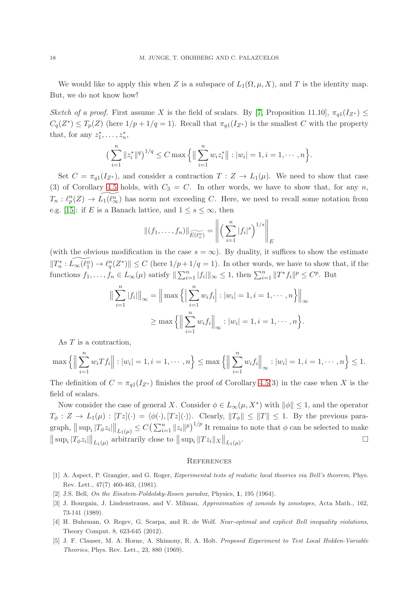We would like to apply this when Z is a subspace of  $L_1(\Omega, \mu, X)$ , and T is the identity map. But, we do not know how!

Sketch of a proof. First assume X is the field of scalars. By [\[7,](#page-18-16) Proposition 11.10],  $\pi_{q1}(I_{Z^*}) \leq$  $C_q(Z^*) \leq T_p(Z)$  (here  $1/p + 1/q = 1$ ). Recall that  $\pi_{q_1}(I_{Z^*})$  is the smallest C with the property that, for any  $z_1^*, \ldots, z_n^*,$ 

$$
\left(\sum_{i=1}^n \|z_i^*\|^q\right)^{1/q} \leq C \max\left\{\left\|\sum_{i=1}^n w_i z_i^*\right\| : |w_i| = 1, i = 1, \cdots, n\right\}.
$$

Set  $C = \pi_{q_1}(I_{Z^*})$ , and consider a contraction  $T : Z \to L_1(\mu)$ . We need to show that case (3) of Corollary [4.5](#page-16-1) holds, with  $C_3 = C$ . In other words, we have to show that, for any n,  $T_n: \ell_p^n(Z) \to \widetilde{L_1(\ell_\infty^n)}$  has norm not exceeding C. Here, we need to recall some notation from e.g. [\[15\]](#page-18-17): if E is a Banach lattice, and  $1 \leq s \leq \infty$ , then

$$
||(f_1, ..., f_n)||_{\widetilde{E(\ell_s^n)}} = \left\| \left( \sum_{i=1}^n |f_i|^s \right)^{1/s} \right\|_E
$$

(with the obvious modification in the case  $s = \infty$ ). By duality, it suffices to show the estimate  $||T_n^* : \widetilde{L_\infty(\ell_1^n)} \to \ell_q^n(Z^*)|| \leq C$  (here  $1/p + 1/q = 1$ ). In other words, we have to show that, if the functions  $f_1, \ldots, f_n \in L_\infty(\mu)$  satisfy  $\|\sum_{i=1}^n |f_i|\|_\infty \leq 1$ , then  $\sum_{i=1}^n \|T^* f_i\|^p \leq C^p$ . But

$$
\|\sum_{i=1}^{n} |f_i|\|_{\infty} = \|\max\left\{ \left|\sum_{i=1}^{n} w_i f_i\right| : |w_i| = 1, i = 1, \cdots, n \right\}\|_{\infty}
$$

$$
\geq \max\left\{ \left\|\sum_{i=1}^{n} w_i f_i\right\|_{\infty} : |w_i| = 1, i = 1, \cdots, n \right\}.
$$

As T is a contraction,

$$
\max \left\{ \Big\| \sum_{i=1}^n w_i Tf_i \Big\| : |w_i| = 1, i = 1, \cdots, n \right\} \le \max \left\{ \Big\| \sum_{i=1}^n w_i f_i \Big\|_{\infty} : |w_i| = 1, i = 1, \cdots, n \right\} \le 1.
$$

The definition of  $C = \pi_{q_1}(I_{Z^*})$  finishes the proof of Corollary [4.5\(](#page-16-1)3) in the case when X is the field of scalars.

Now consider the case of general X. Consider  $\phi \in L_{\infty}(\mu, X^*)$  with  $\|\phi\| \leq 1$ , and the operator  $T_{\phi}: Z \to L_1(\mu): [T z](\cdot) = \langle \phi(\cdot), [T z](\cdot) \rangle$ . Clearly,  $||T_{\phi}|| \le ||T|| \le 1$ . By the previous paragraph,  $|| \sup_i |T_\phi z_i|| \big|_{L_1(\mu)} \leq C \left( \sum_{i=1}^n ||z_i||^p \right)^{1/p}$  It remains to note that  $\phi$  can be selected to make  $\|\sup_i |T_\phi z_i|\|_{L_1(\mu)}$  arbitrarily close to  $\|\sup_i \|Tz_i\|_X\|_{L_1(\mu)}$ .

#### **REFERENCES**

- <span id="page-17-1"></span>[1] A. Aspect, P. Grangier, and G. Roger, Experimental tests of realistic local theories via Bell's theorem, Phys. Rev. Lett., 47(7) 460-463, (1981).
- <span id="page-17-4"></span><span id="page-17-0"></span>[2] J.S. Bell, On the Einstein-Poldolsky-Rosen paradox, Physics, 1, 195 (1964).
- [3] J. Bourgain, J. Lindenstrauss, and V. Milman, Approximation of zonoids by zonotopes, Acta Math., 162, 73-141 (1989).
- <span id="page-17-3"></span>[4] H. Buhrman, O. Regev, G. Scarpa, and R. de Wolf. Near-optimal and explicit Bell inequality violations, Theory Comput. 8, 623-645 (2012).
- <span id="page-17-2"></span>[5] J. F. Clauser, M. A. Horne, A. Shimony, R. A. Holt. Proposed Experiment to Test Local Hidden-Variable Theories, Phys. Rev. Lett., 23, 880 (1969).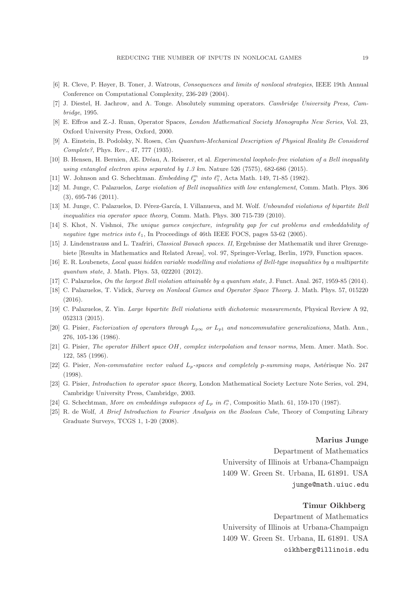- <span id="page-18-16"></span>[6] R. Cleve, P. Høyer, B. Toner, J. Watrous, Consequences and limits of nonlocal strategies, IEEE 19th Annual Conference on Computational Complexity, 236-249 (2004).
- <span id="page-18-10"></span>[7] J. Diestel, H. Jachrow, and A. Tonge. Absolutely summing operators. Cambridge University Press, Cambridge, 1995.
- <span id="page-18-0"></span>[8] E. Effros and Z.-J. Ruan, Operator Spaces, London Mathematical Society Monographs New Series, Vol. 23, Oxford University Press, Oxford, 2000.
- <span id="page-18-1"></span>[9] A. Einstein, B. Podolsky, N. Rosen, Can Quantum-Mechanical Description of Physical Reality Be Considered Complete?, Phys. Rev., 47, 777 (1935).
- [10] B. Hensen, H. Bernien, AE. Dréau, A. Reiserer, et al. Experimental loophole-free violation of a Bell inequality using entangled electron spins separated by 1.3 km. Nature 526 (7575), 682-686 (2015).
- <span id="page-18-3"></span>[11] W. Johnson and G. Schechtman. Embedding  $\ell_p^m$  into  $\ell_1^n$ , Acta Math. 149, 71-85 (1982).
- <span id="page-18-2"></span>[12] M. Junge, C. Palazuelos, Large violation of Bell inequalities with low entanglement, Comm. Math. Phys. 306 (3), 695-746 (2011).
- <span id="page-18-6"></span>[13] M. Junge, C. Palazuelos, D. Pérez-García, I. Villanueva, and M. Wolf. Unbounded violations of bipartite Bell inequalities via operator space theory, Comm. Math. Phys. 300 715-739 (2010).
- <span id="page-18-17"></span>[14] S. Khot, N. Vishnoi, The unique games conjecture, integrality gap for cut problems and embeddability of negative type metrics into  $\ell_1$ , In Proceedings of 46th IEEE FOCS, pages 53-62 (2005).
- <span id="page-18-4"></span>[15] J. Lindenstrauss and L. Tzafriri, Classical Banach spaces. II, Ergebnisse der Mathematik und ihrer Grenzgebiete [Results in Mathematics and Related Areas], vol. 97, Springer-Verlag, Berlin, 1979, Function spaces.
- <span id="page-18-7"></span>[16] E. R. Loubenets, Local quasi hidden variable modelling and violations of Bell-type inequalities by a multipartite quantum state, J. Math. Phys. 53, 022201 (2012).
- <span id="page-18-5"></span>[17] C. Palazuelos, On the largest Bell violation attainable by a quantum state, J. Funct. Anal. 267, 1959-85 (2014).
- <span id="page-18-14"></span>[18] C. Palazuelos, T. Vidick, Survey on Nonlocal Games and Operator Space Theory. J. Math. Phys. 57, 015220 (2016).
- <span id="page-18-15"></span>[19] C. Palazuelos, Z. Yin. Large bipartite Bell violations with dichotomic measurements, Physical Review A 92, 052313 (2015).
- <span id="page-18-12"></span>[20] G. Pisier, Factorization of operators through  $L_{p\infty}$  or  $L_{p1}$  and noncommutative generalizations, Math. Ann., 276, 105-136 (1986).
- <span id="page-18-8"></span>[21] G. Pisier, The operator Hilbert space OH, complex interpolation and tensor norms, Mem. Amer. Math. Soc. 122, 585 (1996).
- <span id="page-18-11"></span>[22] G. Pisier, Non-commutative vector valued  $L_p$ -spaces and completely p-summing maps, Astérisque No. 247 (1998).
- <span id="page-18-9"></span>[23] G. Pisier, Introduction to operator space theory, London Mathematical Society Lecture Note Series, vol. 294, Cambridge University Press, Cambridge, 2003.
- <span id="page-18-13"></span>[24] G. Schechtman, More on embeddings subspaces of  $L_p$  in  $\ell_r^n$ , Compositio Math. 61, 159-170 (1987).
- [25] R. de Wolf, A Brief Introduction to Fourier Analysis on the Boolean Cube, Theory of Computing Library Graduate Surveys, TCGS 1, 1-20 (2008).

#### Marius Junge

Department of Mathematics University of Illinois at Urbana-Champaign 1409 W. Green St. Urbana, IL 61891. USA junge@math.uiuc.edu

### Timur Oikhberg

Department of Mathematics University of Illinois at Urbana-Champaign 1409 W. Green St. Urbana, IL 61891. USA oikhberg@illinois.edu